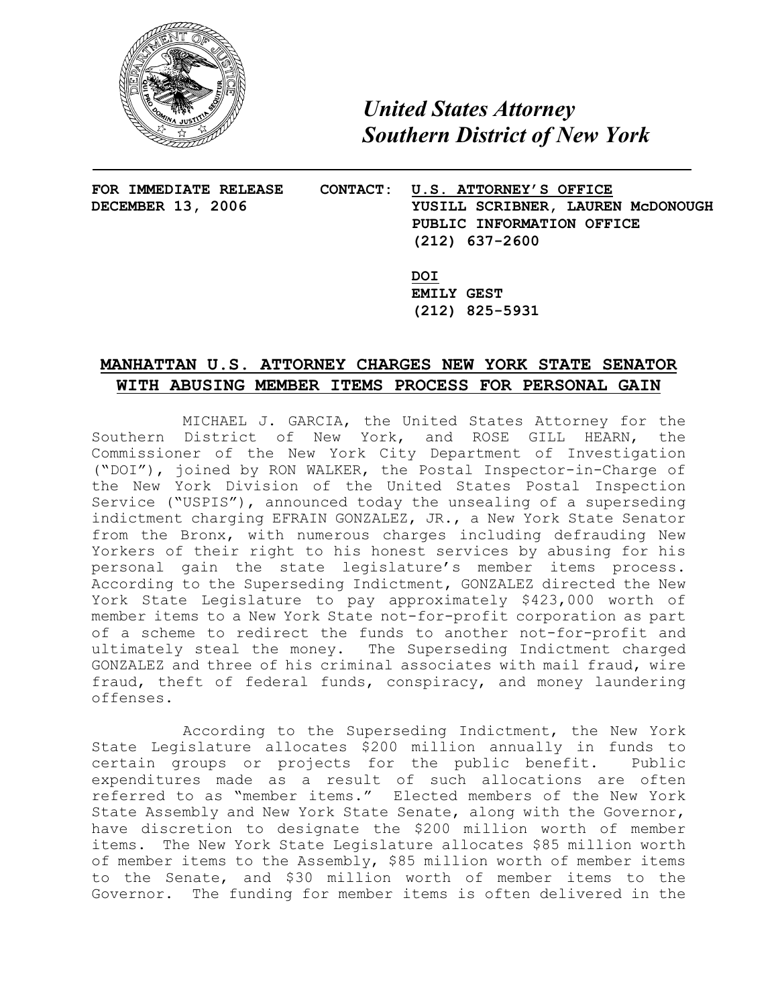

*United States Attorney Southern District of New York*

- **FOR IMMEDIATE RELEASE CONTACT: U.S. ATTORNEY'S OFFICE DECEMBER 13, 2006 YUSILL SCRIBNER, LAUREN McDONOUGH PUBLIC INFORMATION OFFICE (212) 637-2600**
	- **DOI EMILY GEST (212) 825-5931**

## **MANHATTAN U.S. ATTORNEY CHARGES NEW YORK STATE SENATOR WITH ABUSING MEMBER ITEMS PROCESS FOR PERSONAL GAIN**

MICHAEL J. GARCIA, the United States Attorney for the Southern District of New York, and ROSE GILL HEARN, the Commissioner of the New York City Department of Investigation ("DOI"), joined by RON WALKER, the Postal Inspector-in-Charge of the New York Division of the United States Postal Inspection Service ("USPIS"), announced today the unsealing of a superseding indictment charging EFRAIN GONZALEZ, JR., a New York State Senator from the Bronx, with numerous charges including defrauding New Yorkers of their right to his honest services by abusing for his personal gain the state legislature's member items process. According to the Superseding Indictment, GONZALEZ directed the New York State Legislature to pay approximately \$423,000 worth of member items to a New York State not-for-profit corporation as part of a scheme to redirect the funds to another not-for-profit and ultimately steal the money. The Superseding Indictment charged GONZALEZ and three of his criminal associates with mail fraud, wire fraud, theft of federal funds, conspiracy, and money laundering offenses.

According to the Superseding Indictment, the New York State Legislature allocates \$200 million annually in funds to certain groups or projects for the public benefit. Public expenditures made as a result of such allocations are often referred to as "member items." Elected members of the New York State Assembly and New York State Senate, along with the Governor, have discretion to designate the \$200 million worth of member items. The New York State Legislature allocates \$85 million worth of member items to the Assembly, \$85 million worth of member items to the Senate, and \$30 million worth of member items to the Governor. The funding for member items is often delivered in the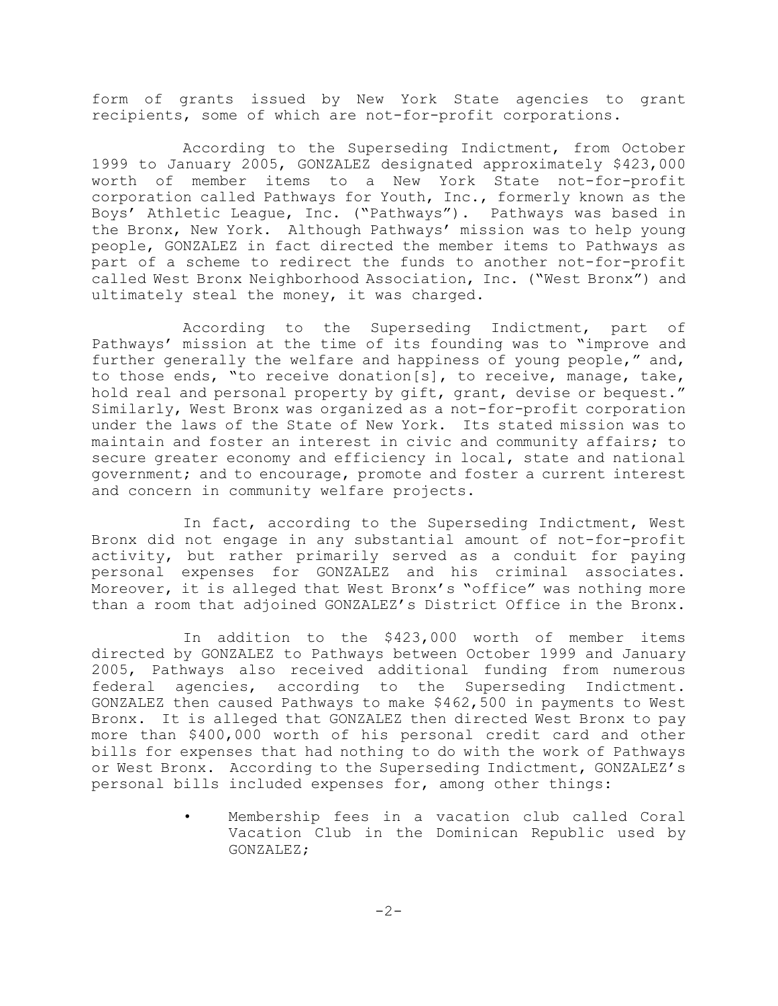form of grants issued by New York State agencies to grant recipients, some of which are not-for-profit corporations.

According to the Superseding Indictment, from October 1999 to January 2005, GONZALEZ designated approximately \$423,000 worth of member items to a New York State not-for-profit corporation called Pathways for Youth, Inc., formerly known as the Boys' Athletic League, Inc. ("Pathways"). Pathways was based in the Bronx, New York. Although Pathways' mission was to help young people, GONZALEZ in fact directed the member items to Pathways as part of a scheme to redirect the funds to another not-for-profit called West Bronx Neighborhood Association, Inc. ("West Bronx") and ultimately steal the money, it was charged.

According to the Superseding Indictment, part of Pathways' mission at the time of its founding was to "improve and further generally the welfare and happiness of young people," and, to those ends, "to receive donation[s], to receive, manage, take, hold real and personal property by gift, grant, devise or bequest." Similarly, West Bronx was organized as a not-for-profit corporation under the laws of the State of New York. Its stated mission was to maintain and foster an interest in civic and community affairs; to secure greater economy and efficiency in local, state and national government; and to encourage, promote and foster a current interest and concern in community welfare projects.

In fact, according to the Superseding Indictment, West Bronx did not engage in any substantial amount of not-for-profit activity, but rather primarily served as a conduit for paying personal expenses for GONZALEZ and his criminal associates. Moreover, it is alleged that West Bronx's "office" was nothing more than a room that adjoined GONZALEZ's District Office in the Bronx.

In addition to the \$423,000 worth of member items directed by GONZALEZ to Pathways between October 1999 and January 2005, Pathways also received additional funding from numerous federal agencies, according to the Superseding Indictment. GONZALEZ then caused Pathways to make \$462,500 in payments to West Bronx. It is alleged that GONZALEZ then directed West Bronx to pay more than \$400,000 worth of his personal credit card and other bills for expenses that had nothing to do with the work of Pathways or West Bronx. According to the Superseding Indictment, GONZALEZ's personal bills included expenses for, among other things:

> Membership fees in a vacation club called Coral Vacation Club in the Dominican Republic used by GONZALEZ;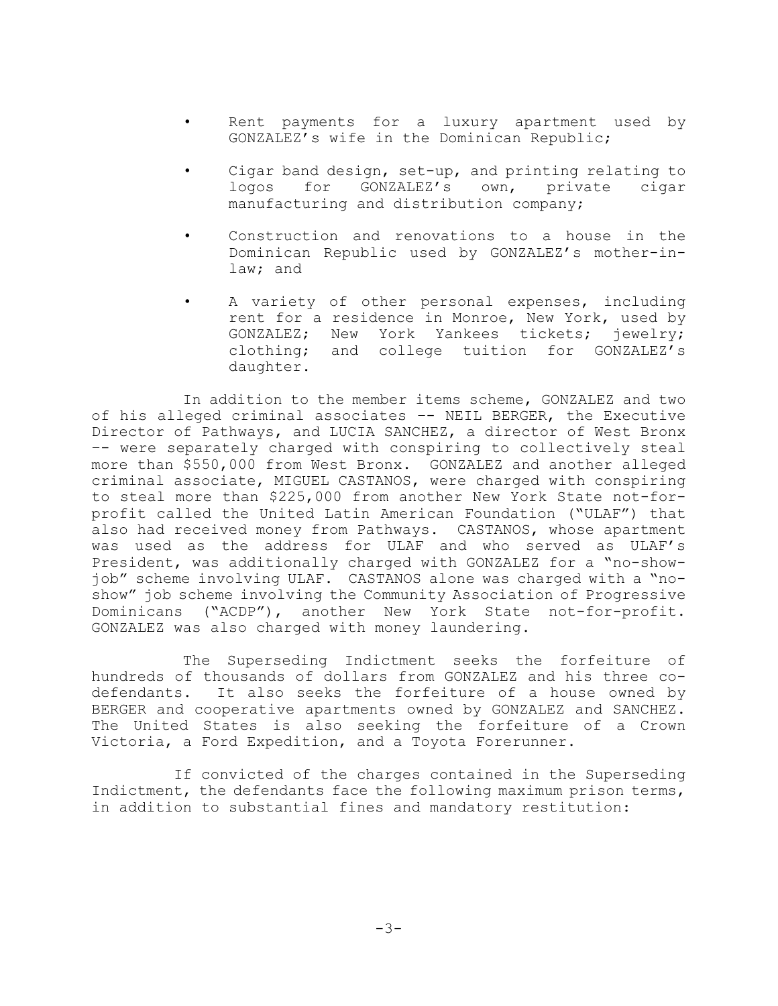- Rent payments for a luxury apartment used by GONZALEZ's wife in the Dominican Republic;
- Cigar band design, set-up, and printing relating to logos for GONZALEZ's own, private cigar manufacturing and distribution company;
- Construction and renovations to a house in the Dominican Republic used by GONZALEZ's mother-inlaw; and
- A variety of other personal expenses, including rent for a residence in Monroe, New York, used by GONZALEZ; New York Yankees tickets; jewelry; clothing; and college tuition for GONZALEZ's daughter.

In addition to the member items scheme, GONZALEZ and two of his alleged criminal associates –- NEIL BERGER, the Executive Director of Pathways, and LUCIA SANCHEZ, a director of West Bronx –- were separately charged with conspiring to collectively steal more than \$550,000 from West Bronx. GONZALEZ and another alleged criminal associate, MIGUEL CASTANOS, were charged with conspiring to steal more than \$225,000 from another New York State not-forprofit called the United Latin American Foundation ("ULAF") that also had received money from Pathways. CASTANOS, whose apartment was used as the address for ULAF and who served as ULAF's President, was additionally charged with GONZALEZ for a "no-showjob" scheme involving ULAF. CASTANOS alone was charged with a "noshow" job scheme involving the Community Association of Progressive Dominicans ("ACDP"), another New York State not-for-profit. GONZALEZ was also charged with money laundering.

The Superseding Indictment seeks the forfeiture of hundreds of thousands of dollars from GONZALEZ and his three codefendants. It also seeks the forfeiture of a house owned by BERGER and cooperative apartments owned by GONZALEZ and SANCHEZ. The United States is also seeking the forfeiture of a Crown Victoria, a Ford Expedition, and a Toyota Forerunner.

 If convicted of the charges contained in the Superseding Indictment, the defendants face the following maximum prison terms, in addition to substantial fines and mandatory restitution: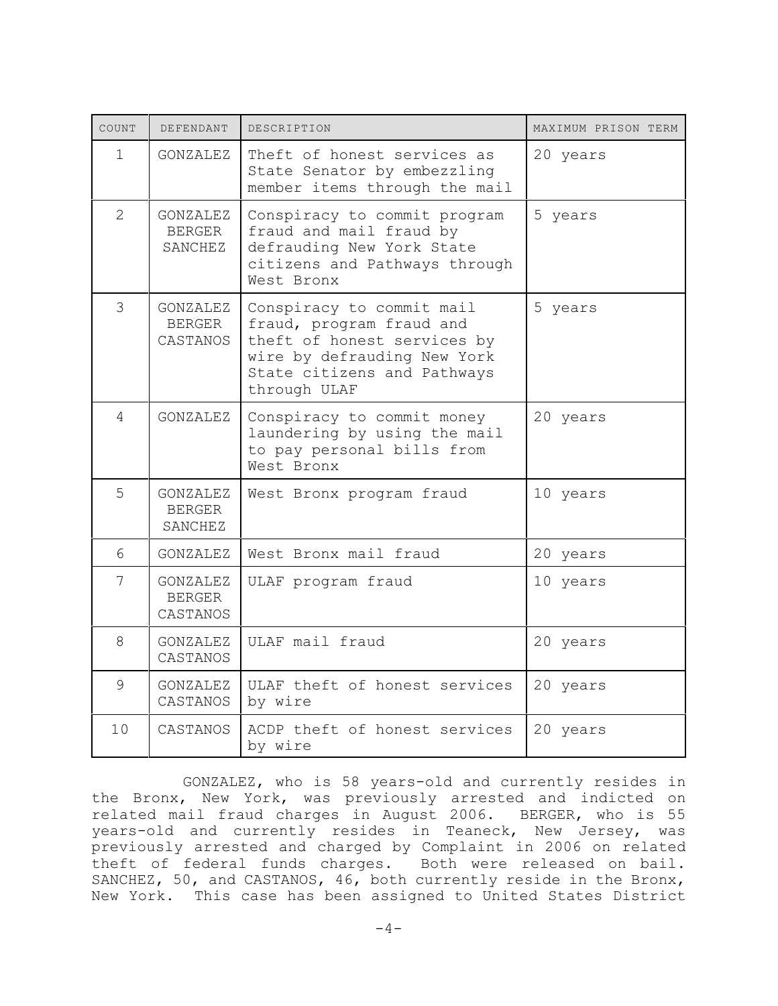| COUNT          | DEFENDANT                             | DESCRIPTION                                                                                                                                                        | MAXIMUM PRISON TERM |
|----------------|---------------------------------------|--------------------------------------------------------------------------------------------------------------------------------------------------------------------|---------------------|
| $\mathbf{1}$   | GONZALEZ                              | Theft of honest services as<br>State Senator by embezzling<br>member items through the mail                                                                        | 20 years            |
| $\overline{2}$ | GONZALEZ<br><b>BERGER</b><br>SANCHEZ  | Conspiracy to commit program<br>fraud and mail fraud by<br>defrauding New York State<br>citizens and Pathways through<br>West Bronx                                | 5 years             |
| 3              | GONZALEZ<br><b>BERGER</b><br>CASTANOS | Conspiracy to commit mail<br>fraud, program fraud and<br>theft of honest services by<br>wire by defrauding New York<br>State citizens and Pathways<br>through ULAF | 5 years             |
| $\overline{4}$ | <b>GONZALEZ</b>                       | Conspiracy to commit money<br>laundering by using the mail<br>to pay personal bills from<br>West Bronx                                                             | 20 years            |
| 5              | GONZALEZ<br><b>BERGER</b><br>SANCHEZ  | West Bronx program fraud                                                                                                                                           | 10 years            |
| 6              | GONZALEZ                              | West Bronx mail fraud                                                                                                                                              | 20 years            |
| 7              | GONZALEZ<br><b>BERGER</b><br>CASTANOS | ULAF program fraud                                                                                                                                                 | 10 years            |
| 8              | GONZALEZ<br>CASTANOS                  | ULAF mail fraud                                                                                                                                                    | 20 years            |
| 9              | GONZALEZ<br>CASTANOS                  | ULAF theft of honest services<br>by wire                                                                                                                           | 20 years            |
| 10             | CASTANOS                              | ACDP theft of honest services<br>by wire                                                                                                                           | 20 years            |

GONZALEZ, who is 58 years-old and currently resides in the Bronx, New York, was previously arrested and indicted on related mail fraud charges in August 2006. BERGER, who is 55 years-old and currently resides in Teaneck, New Jersey, was previously arrested and charged by Complaint in 2006 on related theft of federal funds charges. Both were released on bail. SANCHEZ, 50, and CASTANOS, 46, both currently reside in the Bronx, New York. This case has been assigned to United States District